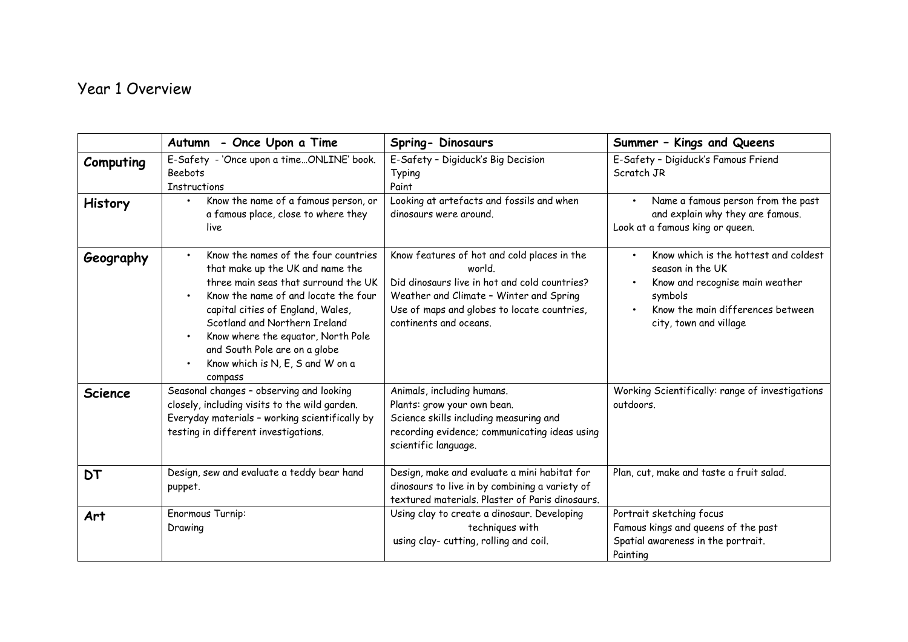## Year 1 Overview

|                | Autumn - Once Upon a Time                                                                                                                                                                                                                                                                                                                            | Spring- Dinosaurs                                                                                                                                                                                                          | Summer - Kings and Queens                                                                                                                                              |
|----------------|------------------------------------------------------------------------------------------------------------------------------------------------------------------------------------------------------------------------------------------------------------------------------------------------------------------------------------------------------|----------------------------------------------------------------------------------------------------------------------------------------------------------------------------------------------------------------------------|------------------------------------------------------------------------------------------------------------------------------------------------------------------------|
| Computing      | E-Safety - 'Once upon a timeONLINE' book.<br><b>Beebots</b><br><b>Instructions</b>                                                                                                                                                                                                                                                                   | E-Safety - Digiduck's Big Decision<br>Typing<br>Paint                                                                                                                                                                      | E-Safety - Digiduck's Famous Friend<br>Scratch JR                                                                                                                      |
| <b>History</b> | Know the name of a famous person, or<br>$\bullet$<br>a famous place, close to where they<br>live                                                                                                                                                                                                                                                     | Looking at artefacts and fossils and when<br>dinosaurs were around.                                                                                                                                                        | Name a famous person from the past<br>and explain why they are famous.<br>Look at a famous king or queen.                                                              |
| Geography      | Know the names of the four countries<br>that make up the UK and name the<br>three main seas that surround the UK<br>Know the name of and locate the four<br>capital cities of England, Wales,<br>Scotland and Northern Ireland<br>Know where the equator, North Pole<br>and South Pole are on a globe<br>Know which is N, E, S and W on a<br>compass | Know features of hot and cold places in the<br>world.<br>Did dinosaurs live in hot and cold countries?<br>Weather and Climate - Winter and Spring<br>Use of maps and globes to locate countries,<br>continents and oceans. | Know which is the hottest and coldest<br>season in the UK<br>Know and recognise main weather<br>symbols<br>Know the main differences between<br>city, town and village |
| <b>Science</b> | Seasonal changes - observing and looking<br>closely, including visits to the wild garden.<br>Everyday materials - working scientifically by<br>testing in different investigations.                                                                                                                                                                  | Animals, including humans.<br>Plants: grow your own bean.<br>Science skills including measuring and<br>recording evidence; communicating ideas using<br>scientific language.                                               | Working Scientifically: range of investigations<br>outdoors.                                                                                                           |
| <b>DT</b>      | Design, sew and evaluate a teddy bear hand<br>puppet.                                                                                                                                                                                                                                                                                                | Design, make and evaluate a mini habitat for<br>dinosaurs to live in by combining a variety of<br>textured materials. Plaster of Paris dinosaurs.                                                                          | Plan, cut, make and taste a fruit salad.                                                                                                                               |
| Art            | Enormous Turnip:<br>Drawing                                                                                                                                                                                                                                                                                                                          | Using clay to create a dinosaur. Developing<br>techniques with<br>using clay- cutting, rolling and coil.                                                                                                                   | Portrait sketching focus<br>Famous kings and queens of the past<br>Spatial awareness in the portrait.<br>Painting                                                      |